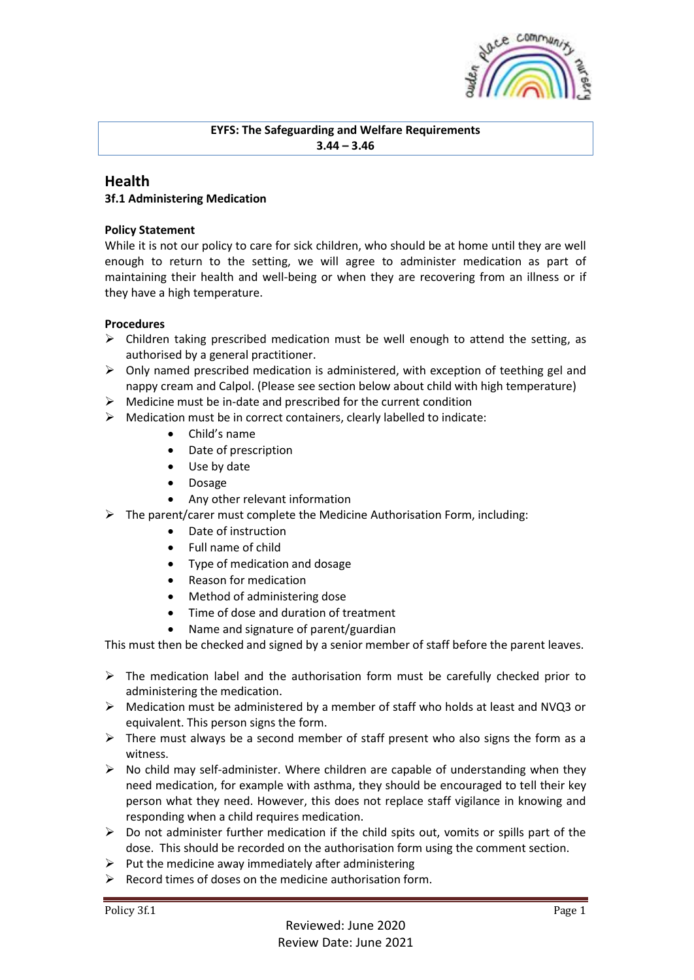

## **EYFS: The Safeguarding and Welfare Requirements 3.44 – 3.46**

# **Health**

## **3f.1 Administering Medication**

### **Policy Statement**

While it is not our policy to care for sick children, who should be at home until they are well enough to return to the setting, we will agree to administer medication as part of maintaining their health and well-being or when they are recovering from an illness or if they have a high temperature.

### **Procedures**

- $\triangleright$  Children taking prescribed medication must be well enough to attend the setting, as authorised by a general practitioner.
- $\triangleright$  Only named prescribed medication is administered, with exception of teething gel and nappy cream and Calpol. (Please see section below about child with high temperature)
- $\triangleright$  Medicine must be in-date and prescribed for the current condition
- ➢ Medication must be in correct containers, clearly labelled to indicate:
	- Child's name
	- Date of prescription
	- Use by date
	- Dosage
	- Any other relevant information
- ➢ The parent/carer must complete the Medicine Authorisation Form, including:
	- Date of instruction
	- Full name of child
	- Type of medication and dosage
	- Reason for medication
	- Method of administering dose
	- Time of dose and duration of treatment
	- Name and signature of parent/guardian

This must then be checked and signed by a senior member of staff before the parent leaves.

- $\triangleright$  The medication label and the authorisation form must be carefully checked prior to administering the medication.
- $\triangleright$  Medication must be administered by a member of staff who holds at least and NVQ3 or equivalent. This person signs the form.
- $\triangleright$  There must always be a second member of staff present who also signs the form as a witness.
- $\triangleright$  No child may self-administer. Where children are capable of understanding when they need medication, for example with asthma, they should be encouraged to tell their key person what they need. However, this does not replace staff vigilance in knowing and responding when a child requires medication.
- $\triangleright$  Do not administer further medication if the child spits out, vomits or spills part of the dose. This should be recorded on the authorisation form using the comment section.
- $\triangleright$  Put the medicine away immediately after administering
- $\triangleright$  Record times of doses on the medicine authorisation form.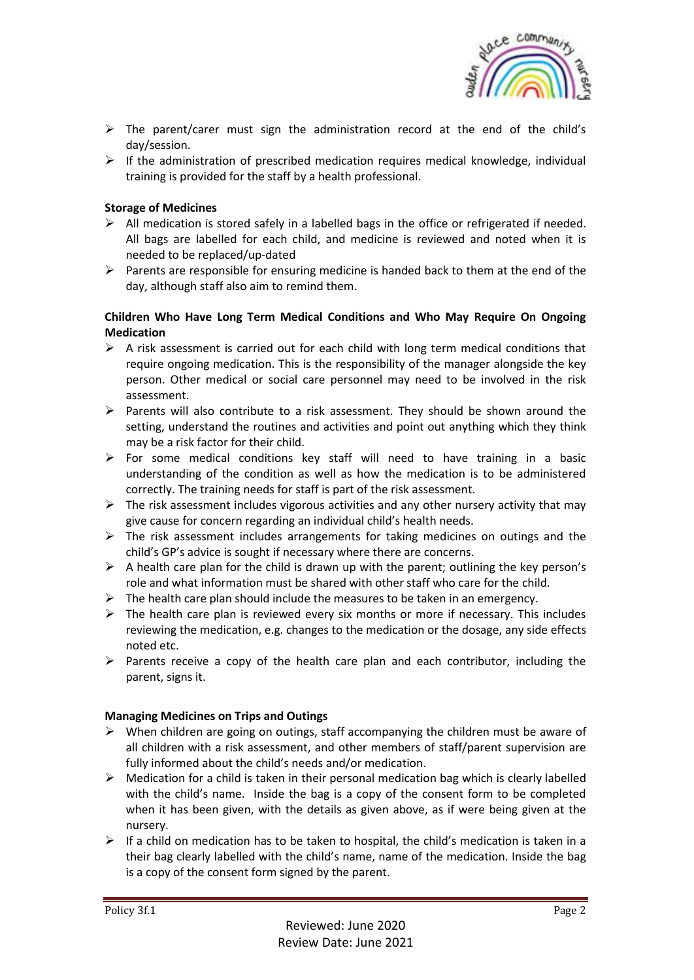

- $\triangleright$  The parent/carer must sign the administration record at the end of the child's day/session.
- $\triangleright$  If the administration of prescribed medication requires medical knowledge, individual training is provided for the staff by a health professional.

### **Storage of Medicines**

- $\triangleright$  All medication is stored safely in a labelled bags in the office or refrigerated if needed. All bags are labelled for each child, and medicine is reviewed and noted when it is needed to be replaced/up-dated
- $\triangleright$  Parents are responsible for ensuring medicine is handed back to them at the end of the day, although staff also aim to remind them.

### **Children Who Have Long Term Medical Conditions and Who May Require On Ongoing Medication**

- $\triangleright$  A risk assessment is carried out for each child with long term medical conditions that require ongoing medication. This is the responsibility of the manager alongside the key person. Other medical or social care personnel may need to be involved in the risk assessment.
- $\triangleright$  Parents will also contribute to a risk assessment. They should be shown around the setting, understand the routines and activities and point out anything which they think may be a risk factor for their child.
- $\triangleright$  For some medical conditions key staff will need to have training in a basic understanding of the condition as well as how the medication is to be administered correctly. The training needs for staff is part of the risk assessment.
- $\triangleright$  The risk assessment includes vigorous activities and any other nursery activity that may give cause for concern regarding an individual child's health needs.
- $\triangleright$  The risk assessment includes arrangements for taking medicines on outings and the child's GP's advice is sought if necessary where there are concerns.
- $\triangleright$  A health care plan for the child is drawn up with the parent; outlining the key person's role and what information must be shared with other staff who care for the child.
- $\triangleright$  The health care plan should include the measures to be taken in an emergency.
- $\triangleright$  The health care plan is reviewed every six months or more if necessary. This includes reviewing the medication, e.g. changes to the medication or the dosage, any side effects noted etc.
- ➢ Parents receive a copy of the health care plan and each contributor, including the parent, signs it.

### **Managing Medicines on Trips and Outings**

- $\triangleright$  When children are going on outings, staff accompanying the children must be aware of all children with a risk assessment, and other members of staff/parent supervision are fully informed about the child's needs and/or medication.
- $\triangleright$  Medication for a child is taken in their personal medication bag which is clearly labelled with the child's name. Inside the bag is a copy of the consent form to be completed when it has been given, with the details as given above, as if were being given at the nursery.
- $\triangleright$  If a child on medication has to be taken to hospital, the child's medication is taken in a their bag clearly labelled with the child's name, name of the medication. Inside the bag is a copy of the consent form signed by the parent.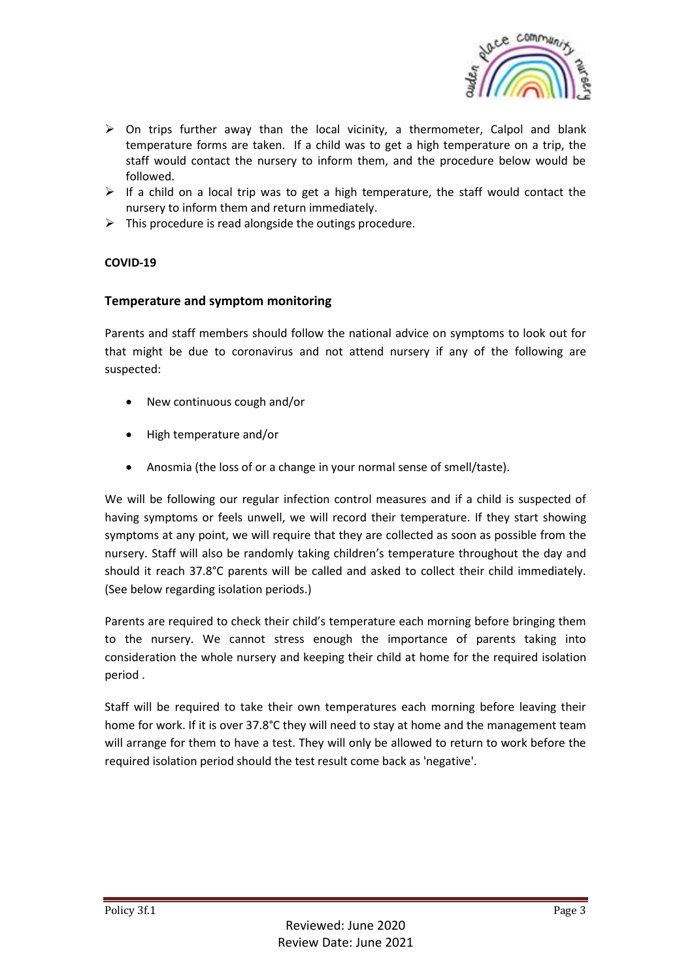

- $\triangleright$  On trips further away than the local vicinity, a thermometer, Calpol and blank temperature forms are taken. If a child was to get a high temperature on a trip, the staff would contact the nursery to inform them, and the procedure below would be followed.
- $\triangleright$  If a child on a local trip was to get a high temperature, the staff would contact the nursery to inform them and return immediately.
- $\triangleright$  This procedure is read alongside the outings procedure.

### **COVID-19**

### **Temperature and symptom monitoring**

Parents and staff members should follow the national advice on symptoms to look out for that might be due to coronavirus and not attend nursery if any of the following are suspected:

- New continuous cough and/or
- High temperature and/or
- Anosmia (the loss of or a change in your normal sense of smell/taste).

We will be following our regular infection control measures and if a child is suspected of having symptoms or feels unwell, we will record their temperature. If they start showing symptoms at any point, we will require that they are collected as soon as possible from the nursery. Staff will also be randomly taking children's temperature throughout the day and should it reach 37.8°C parents will be called and asked to collect their child immediately. (See below regarding isolation periods.)

Parents are required to check their child's temperature each morning before bringing them to the nursery. We cannot stress enough the importance of parents taking into consideration the whole nursery and keeping their child at home for the required isolation period .

Staff will be required to take their own temperatures each morning before leaving their home for work. If it is over 37.8°C they will need to stay at home and the management team will arrange for them to have a test. They will only be allowed to return to work before the required isolation period should the test result come back as 'negative'.